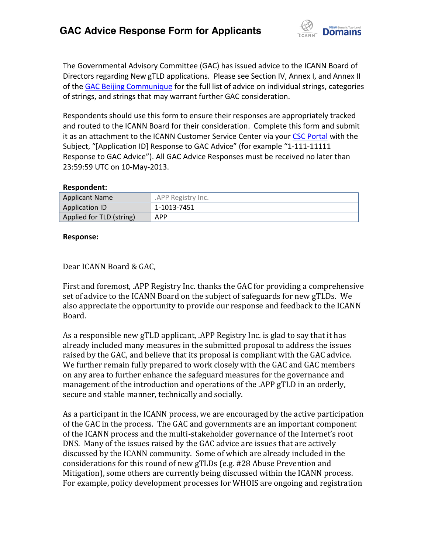

The Governmental Advisory Committee (GAC) has issued advice to the ICANN Board of Directors regarding New gTLD applications. Please see Section IV, Annex I, and Annex II of th[e GAC Beijing Communique](http://www.icann.org/en/news/correspondence/gac-to-board-18apr13-en.pdf) for the full list of advice on individual strings, categories of strings, and strings that may warrant further GAC consideration.

Respondents should use this form to ensure their responses are appropriately tracked and routed to the ICANN Board for their consideration. Complete this form and submit it as an attachment to the ICANN Customer Service Center via your CSC [Portal](https://myicann.secure.force.com/) with the Subject, "[Application ID] Response to GAC Advice" (for example "1-111-11111 Response to GAC Advice"). All GAC Advice Responses must be received no later than 23:59:59 UTC on 10-May-2013.

#### **Respondent:**

| <b>Applicant Name</b>    | .APP Registry Inc. |
|--------------------------|--------------------|
| <b>Application ID</b>    | 1-1013-7451        |
| Applied for TLD (string) | <b>APP</b>         |

#### **Response:**

#### Dear ICANN Board & GAC,

First and foremost, .APP Registry Inc. thanks the GAC for providing a comprehensive set of advice to the ICANN Board on the subject of safeguards for new gTLDs. We also appreciate the opportunity to provide our response and feedback to the ICANN Board.

As a responsible new gTLD applicant, .APP Registry Inc. is glad to say that it has already included many measures in the submitted proposal to address the issues raised by the GAC, and believe that its proposal is compliant with the GAC advice. We further remain fully prepared to work closely with the GAC and GAC members on any area to further enhance the safeguard measures for the governance and management of the introduction and operations of the .APP gTLD in an orderly, secure and stable manner, technically and socially.

As a participant in the ICANN process, we are encouraged by the active participation of the GAC in the process. The GAC and governments are an important component of the ICANN process and the multi-stakeholder governance of the Internet's root DNS. Many of the issues raised by the GAC advice are issues that are actively discussed by the ICANN community. Some of which are already included in the considerations for this round of new gTLDs (e.g. #28 Abuse Prevention and Mitigation), some others are currently being discussed within the ICANN process. For example, policy development processes for WHOIS are ongoing and registration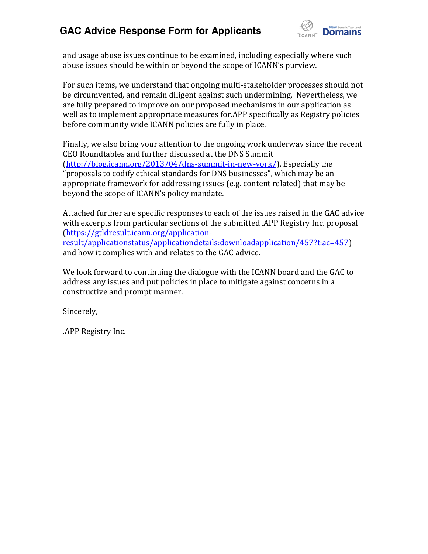

and usage abuse issues continue to be examined, including especially where such abuse issues should be within or beyond the scope of ICANN's purview.

For such items, we understand that ongoing multi-stakeholder processes should not be circumvented, and remain diligent against such undermining. Nevertheless, we are fully prepared to improve on our proposed mechanisms in our application as well as to implement appropriate measures for.APP specifically as Registry policies before community wide ICANN policies are fully in place.

Finally, we also bring your attention to the ongoing work underway since the recent CEO Roundtables and further discussed at the DNS Summit [\(http://blog.icann.org/2013/04/dns-summit-in-new-york/\)](http://blog.icann.org/2013/04/dns-summit-in-new-york/). Especially the "proposals to codify ethical standards for DNS businesses", which may be an appropriate framework for addressing issues (e.g. content related) that may be beyond the scope of ICANN's policy mandate.

Attached further are specific responses to each of the issues raised in the GAC advice with excerpts from particular sections of the submitted .APP Registry Inc. proposal [\(https://gtldresult.icann.org/application](https://gtldresult.icann.org/application-result/applicationstatus/applicationdetails:downloadapplication/457?t:ac=457)[result/applicationstatus/applicationdetails:downloadapplication/457?t:ac=457\)](https://gtldresult.icann.org/application-result/applicationstatus/applicationdetails:downloadapplication/457?t:ac=457) and how it complies with and relates to the GAC advice.

We look forward to continuing the dialogue with the ICANN board and the GAC to address any issues and put policies in place to mitigate against concerns in a constructive and prompt manner.

Sincerely,

.APP Registry Inc.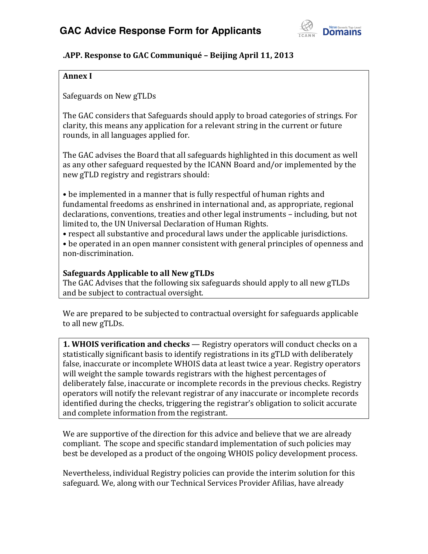

#### **.APP. Response to GAC Communiqué – Beijing April 11, 2013**

#### **Annex I**

Safeguards on New gTLDs

The GAC considers that Safeguards should apply to broad categories of strings. For clarity, this means any application for a relevant string in the current or future rounds, in all languages applied for.

The GAC advises the Board that all safeguards highlighted in this document as well as any other safeguard requested by the ICANN Board and/or implemented by the new gTLD registry and registrars should:

• be implemented in a manner that is fully respectful of human rights and fundamental freedoms as enshrined in international and, as appropriate, regional declarations, conventions, treaties and other legal instruments – including, but not limited to, the UN Universal Declaration of Human Rights.

• respect all substantive and procedural laws under the applicable jurisdictions.

• be operated in an open manner consistent with general principles of openness and non-discrimination.

#### **Safeguards Applicable to all New gTLDs**

The GAC Advises that the following six safeguards should apply to all new gTLDs and be subject to contractual oversight.

We are prepared to be subjected to contractual oversight for safeguards applicable to all new gTLDs.

**1. WHOIS verification and checks** — Registry operators will conduct checks on a statistically significant basis to identify registrations in its gTLD with deliberately false, inaccurate or incomplete WHOIS data at least twice a year. Registry operators will weight the sample towards registrars with the highest percentages of deliberately false, inaccurate or incomplete records in the previous checks. Registry operators will notify the relevant registrar of any inaccurate or incomplete records identified during the checks, triggering the registrar's obligation to solicit accurate and complete information from the registrant.

We are supportive of the direction for this advice and believe that we are already compliant. The scope and specific standard implementation of such policies may best be developed as a product of the ongoing WHOIS policy development process.

Nevertheless, individual Registry policies can provide the interim solution for this safeguard. We, along with our Technical Services Provider Afilias, have already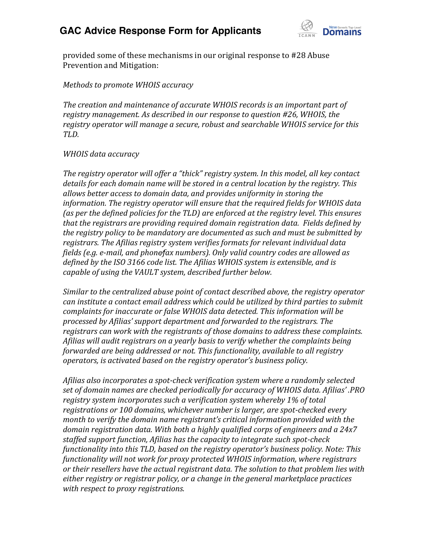

provided some of these mechanisms in our original response to #28 Abuse Prevention and Mitigation:

*Methods to promote WHOIS accuracy*

*The creation and maintenance of accurate WHOIS records is an important part of registry management. As described in our response to question #26, WHOIS, the registry operator will manage a secure, robust and searchable WHOIS service for this TLD.*

#### *WHOIS data accuracy*

The registry operator will offer a "thick" registry system. In this model, all key contact *details for each domain name will be stored in a central location by the registry. This allows better access to domain data, and provides uniformity in storing the information. The registry operator will ensure that the required fields for WHOIS data (as per the defined policies for the TLD) are enforced at the registry level. This ensures that the registrars are providing required domain registration data. Fields defined by the registry policy to be mandatory are documented as such and must be submitted by registrars. The Afilias registry system verifies formats for relevant individual data fields (e.g. e-mail, and phonefax numbers). Only valid country codes are allowed as defined by the ISO 3166 code list. The Afilias WHOIS system is extensible, and is capable of using the VAULT system, described further below.*

*Similar to the centralized abuse point of contact described above, the registry operator can institute a contact email address which could be utilized by third parties to submit complaints for inaccurate or false WHOIS data detected. This information will be*  processed by Afilias' support department and forwarded to the registrars. The *registrars can work with the registrants of those domains to address these complaints. Afilias will audit registrars on a yearly basis to verify whether the complaints being forwarded are being addressed or not. This functionality, available to all registry operators, is activated based on the registry operator's business policy.* 

*Afilias also incorporates a spot-check verification system where a randomly selected*  set of domain names are checked periodically for accuracy of WHOIS data. Afilias'.PRO *registry system incorporates such a verification system whereby 1% of total registrations or 100 domains, whichever number is larger, are spot-checked every month* to verify the domain name registrant's critical information provided with the *domain registration data. With both a highly qualified corps of engineers and a 24x7 staffed support function, Afilias has the capacity to integrate such spot-check functionality into this TLD, based on the registry operator's business policy. Note: This functionality will not work for proxy protected WHOIS information, where registrars or their resellers have the actual registrant data. The solution to that problem lies with either registry or registrar policy, or a change in the general marketplace practices with respect to proxy registrations.*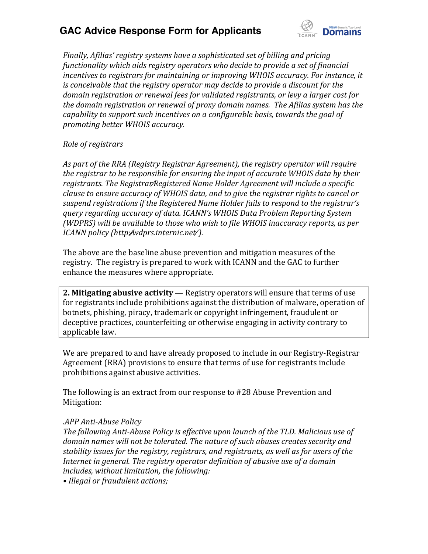

*Finally, Afilias' registry systems have a sophisticated set of billing and pricing functionality which aids registry operators who decide to provide a set of financial incentives to registrars for maintaining or improving WHOIS accuracy. For instance, it is conceivable that the registry operator may decide to provide a discount for the domain registration or renewal fees for validated registrants, or levy a larger cost for the domain registration or renewal of proxy domain names. The Afilias system has the capability to support such incentives on a configurable basis, towards the goal of promoting better WHOIS accuracy.*

#### *Role of registrars*

*As part of the RRA (Registry Registrar Agreement), the registry operator will require the registrar to be responsible for ensuring the input of accurate WHOIS data by their*  registrants. The Registrar/Registered Name Holder Agreement will include a specific *clause to ensure accuracy of WHOIS data, and to give the registrar rights to cancel or*  suspend registrations if the Registered Name Holder fails to respond to the registrar's *duery regarding accuracy of data. ICANN's WHOIS Data Problem Reporting System (WDPRS) will be available to those who wish to file WHOIS inaccuracy reports, as per ICANN policy (http:⁄⁄wdprs.internic.net⁄ ).*

The above are the baseline abuse prevention and mitigation measures of the registry. The registry is prepared to work with ICANN and the GAC to further enhance the measures where appropriate.

**2. Mitigating abusive activity** — Registry operators will ensure that terms of use for registrants include prohibitions against the distribution of malware, operation of botnets, phishing, piracy, trademark or copyright infringement, fraudulent or deceptive practices, counterfeiting or otherwise engaging in activity contrary to applicable law.

We are prepared to and have already proposed to include in our Registry-Registrar Agreement (RRA) provisions to ensure that terms of use for registrants include prohibitions against abusive activities.

The following is an extract from our response to #28 Abuse Prevention and Mitigation:

#### *.APP Anti-Abuse Policy*

*The following Anti-Abuse Policy is effective upon launch of the TLD. Malicious use of domain names will not be tolerated. The nature of such abuses creates security and stability issues for the registry, registrars, and registrants, as well as for users of the Internet in general. The registry operator definition of abusive use of a domain includes, without limitation, the following:*

• Illegal or fraudulent actions;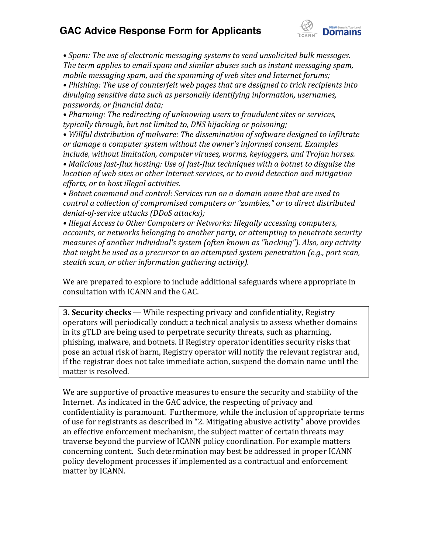

• Spam: The use of electronic messaging systems to send unsolicited bulk messages. *The term applies to email spam and similar abuses such as instant messaging spam, mobile messaging spam, and the spamming of web sites and Internet forums;*

• Phishing: The use of counterfeit web pages that are designed to trick recipients into *divulging sensitive data such as personally identifying information, usernames, passwords, or financial data;*

• Pharming: The redirecting of unknowing users to fraudulent sites or services, *typically through, but not limited to, DNS hijacking or poisoning;*

• Willful distribution of malware: The dissemination of software designed to infiltrate *or* damage a computer system without the owner's informed consent. Examples *include, without limitation, computer viruses, worms, keyloggers, and Trojan horses.*

• Malicious fast-flux hosting: Use of fast-flux techniques with a botnet to disguise the *location of web sites or other Internet services, or to avoid detection and mitigation efforts, or to host illegal activities.* 

• Botnet command and control: Services run on a domain name that are used to *control a collection of compromised computers or "zombies," or to direct distributed denial-of-service attacks (DDoS attacks);*

• Illegal Access to Other Computers or Networks: Illegally accessing computers, *accounts, or networks belonging to another party, or attempting to penetrate security measures of another individual's system (often known as "hacking"). Also, any activity that might be used as a precursor to an attempted system penetration (e.g., port scan, stealth scan, or other information gathering activity).*

We are prepared to explore to include additional safeguards where appropriate in consultation with ICANN and the GAC.

**3. Security checks** — While respecting privacy and confidentiality, Registry operators will periodically conduct a technical analysis to assess whether domains in its gTLD are being used to perpetrate security threats, such as pharming, phishing, malware, and botnets. If Registry operator identifies security risks that pose an actual risk of harm, Registry operator will notify the relevant registrar and, if the registrar does not take immediate action, suspend the domain name until the matter is resolved.

We are supportive of proactive measures to ensure the security and stability of the Internet. As indicated in the GAC advice, the respecting of privacy and confidentiality is paramount. Furthermore, while the inclusion of appropriate terms of use for registrants as described in "2. Mitigating abusive activity" above provides an effective enforcement mechanism, the subject matter of certain threats may traverse beyond the purview of ICANN policy coordination. For example matters concerning content. Such determination may best be addressed in proper ICANN policy development processes if implemented as a contractual and enforcement matter by ICANN.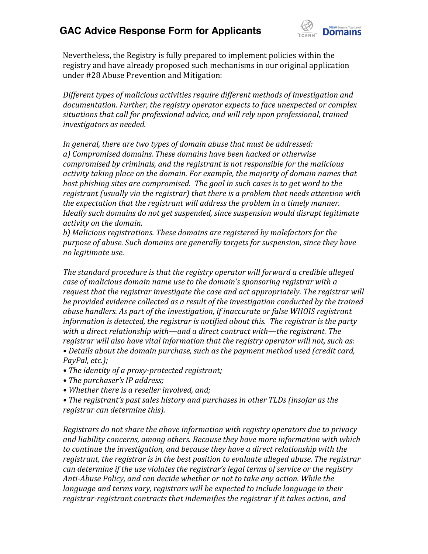

Nevertheless, the Registry is fully prepared to implement policies within the registry and have already proposed such mechanisms in our original application under #28 Abuse Prevention and Mitigation:

*Different types of malicious activities require different methods of investigation and documentation. Further, the registry operator expects to face unexpected or complex situations that call for professional advice, and will rely upon professional, trained investigators as needed.*

*In general, there are two types of domain abuse that must be addressed: a) Compromised domains. These domains have been hacked or otherwise compromised by criminals, and the registrant is not responsible for the malicious activity taking place on the domain. For example, the majority of domain names that host phishing sites are compromised. The goal in such cases is to get word to the registrant (usually via the registrar) that there is a problem that needs attention with the expectation that the registrant will address the problem in a timely manner. Ideally such domains do not get suspended, since suspension would disrupt legitimate activity on the domain.*

*b) Malicious registrations. These domains are registered by malefactors for the purpose of abuse. Such domains are generally targets for suspension, since they have no legitimate use.*

*The standard procedure is that the registry operator will forward a credible alleged case of malicious domain name use to the domain's sponsoring registrar with a request that the registrar investigate the case and act appropriately. The registrar will be provided evidence collected as a result of the investigation conducted by the trained abuse handlers. As part of the investigation, if inaccurate or false WHOIS registrant information is detected, the registrar is notified about this. The registrar is the party with a direct relationship with—and a direct contract with—the registrant. The registrar will also have vital information that the registry operator will not, such as:* • Details about the domain purchase, such as the payment method used (credit card, *PayPal, etc.);* 

- The *identity of a proxy-protected registrant;*
- The purchaser's IP address;
- Whether there is a reseller involved, and;

• The registrant's past sales history and purchases in other TLDs (insofar as the *registrar can determine this).*

*Registrars do not share the above information with registry operators due to privacy and liability concerns, among others. Because they have more information with which to continue the investigation, and because they have a direct relationship with the registrant, the registrar is in the best position to evaluate alleged abuse. The registrar*  can determine if the use violates the registrar's legal terms of service or the registry *Anti-Abuse Policy, and can decide whether or not to take any action. While the*  language and terms vary, registrars will be expected to include language in their *registrar-registrant contracts that indemnifies the registrar if it takes action, and*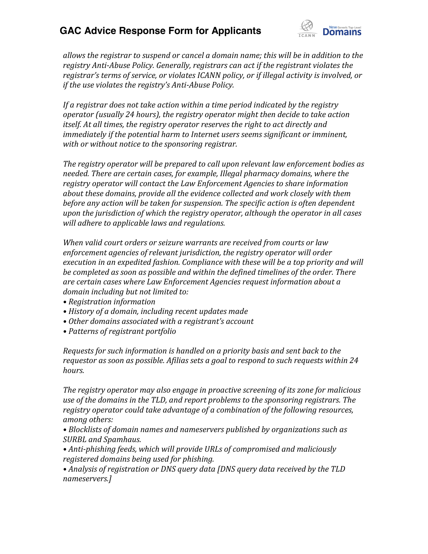

*allows the registrar to suspend or cancel a domain name; this will be in addition to the registry Anti-Abuse Policy. Generally, registrars can act if the registrant violates the*  registrar's terms of service, or violates ICANN policy, or if illegal activity is involved, or *if the use violates the registry's Anti-Abuse Policy.* 

*If a registrar does not take action within a time period indicated by the registry operator (usually 24 hours), the registry operator might then decide to take action itself. At all times, the registry operator reserves the right to act directly and immediately if the potential harm to Internet users seems significant or imminent, with or without notice to the sponsoring registrar.* 

*The registry operator will be prepared to call upon relevant law enforcement bodies as needed. There are certain cases, for example, Illegal pharmacy domains, where the registry operator will contact the Law Enforcement Agencies to share information about these domains, provide all the evidence collected and work closely with them before any action will be taken for suspension. The specific action is often dependent upon the jurisdiction of which the registry operator, although the operator in all cases will adhere to applicable laws and regulations.*

*When valid court orders or seizure warrants are received from courts or law enforcement agencies of relevant jurisdiction, the registry operator will order execution in an expedited fashion. Compliance with these will be a top priority and will be completed as soon as possible and within the defined timelines of the order. There are certain cases where Law Enforcement Agencies request information about a domain including but not limited to:*

- *• Registration information*
- *• History of a domain, including recent updates made*
- Other domains associated with a registrant's account
- *• Patterns of registrant portfolio*

*Requests for such information is handled on a priority basis and sent back to the requestor as soon as possible. Afilias sets a goal to respond to such requests within 24 hours.*

*The registry operator may also engage in proactive screening of its zone for malicious use of the domains in the TLD, and report problems to the sponsoring registrars. The registry operator could take advantage of a combination of the following resources, among others:*

• Blocklists of domain names and nameservers published by organizations such as *SURBL and Spamhaus.*

*• Anti-phishing feeds, which will provide URLs of compromised and maliciously registered domains being used for phishing.*

*• Analysis of registration or DNS query data [DNS query data received by the TLD nameservers.]*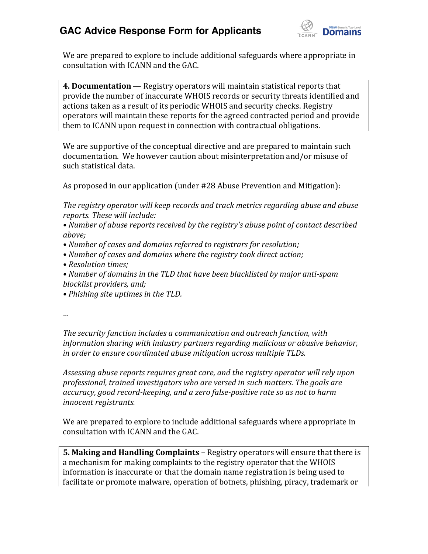

We are prepared to explore to include additional safeguards where appropriate in consultation with ICANN and the GAC.

**4. Documentation** — Registry operators will maintain statistical reports that provide the number of inaccurate WHOIS records or security threats identified and actions taken as a result of its periodic WHOIS and security checks. Registry operators will maintain these reports for the agreed contracted period and provide them to ICANN upon request in connection with contractual obligations.

We are supportive of the conceptual directive and are prepared to maintain such documentation. We however caution about misinterpretation and/or misuse of such statistical data.

As proposed in our application (under #28 Abuse Prevention and Mitigation):

*The registry operator will keep records and track metrics regarding abuse and abuse reports. These will include:* 

• Number of abuse reports received by the registry's abuse point of contact described *above;*

- Number of cases and domains referred to registrars for resolution;
- Number of cases and domains where the registry took direct action;
- *• Resolution times;*
- Number of domains in the TLD that have been blacklisted by major anti-spam *blocklist providers, and;*
- *• Phishing site uptimes in the TLD.*

*…*

*The security function includes a communication and outreach function, with information sharing with industry partners regarding malicious or abusive behavior, in order to ensure coordinated abuse mitigation across multiple TLDs.*

*Assessing abuse reports requires great care, and the registry operator will rely upon professional, trained investigators who are versed in such matters. The goals are accuracy, good record-keeping, and a zero false-positive rate so as not to harm innocent registrants.*

We are prepared to explore to include additional safeguards where appropriate in consultation with ICANN and the GAC.

**5. Making and Handling Complaints** – Registry operators will ensure that there is a mechanism for making complaints to the registry operator that the WHOIS information is inaccurate or that the domain name registration is being used to facilitate or promote malware, operation of botnets, phishing, piracy, trademark or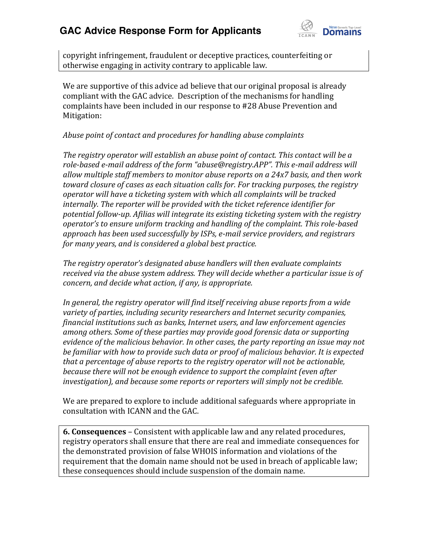

copyright infringement, fraudulent or deceptive practices, counterfeiting or otherwise engaging in activity contrary to applicable law.

We are supportive of this advice ad believe that our original proposal is already compliant with the GAC advice. Description of the mechanisms for handling complaints have been included in our response to #28 Abuse Prevention and Mitigation:

#### *Abuse point of contact and procedures for handling abuse complaints*

*The registry operator will establish an abuse point of contact. This contact will be a*  role-based e-mail address of the form "abuse@registry.APP". This e-mail address will *allow multiple staff members to monitor abuse reports on a 24x7 basis, and then work toward closure of cases as each situation calls for. For tracking purposes, the registry operator will have a ticketing system with which all complaints will be tracked internally. The reporter will be provided with the ticket reference identifier for potential follow-up. Afilias will integrate its existing ticketing system with the registry operator's* to ensure uniform tracking and handling of the complaint. This role-based *approach has been used successfully by ISPs, e-mail service providers, and registrars for many years, and is considered a global best practice.* 

The registry operator's designated abuse handlers will then evaluate complaints *received via the abuse system address. They will decide whether a particular issue is of concern, and decide what action, if any, is appropriate.*

*In general, the registry operator will find itself receiving abuse reports from a wide variety of parties, including security researchers and Internet security companies, financial institutions such as banks, Internet users, and law enforcement agencies among others. Some of these parties may provide good forensic data or supporting evidence of the malicious behavior. In other cases, the party reporting an issue may not be familiar with how to provide such data or proof of malicious behavior. It is expected that a percentage of abuse reports to the registry operator will not be actionable, because there will not be enough evidence to support the complaint (even after investigation), and because some reports or reporters will simply not be credible.*

We are prepared to explore to include additional safeguards where appropriate in consultation with ICANN and the GAC.

**6. Consequences** – Consistent with applicable law and any related procedures, registry operators shall ensure that there are real and immediate consequences for the demonstrated provision of false WHOIS information and violations of the requirement that the domain name should not be used in breach of applicable law; these consequences should include suspension of the domain name.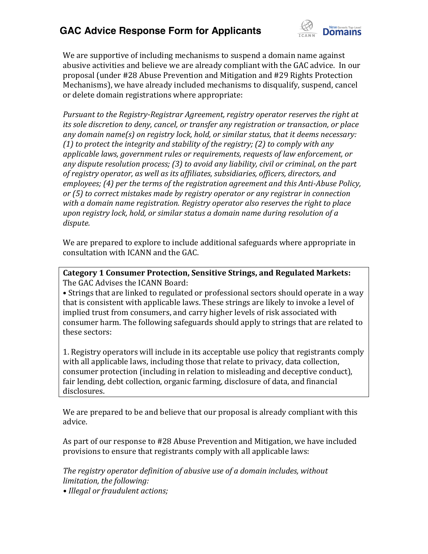

We are supportive of including mechanisms to suspend a domain name against abusive activities and believe we are already compliant with the GAC advice. In our proposal (under #28 Abuse Prevention and Mitigation and #29 Rights Protection Mechanisms), we have already included mechanisms to disqualify, suspend, cancel or delete domain registrations where appropriate:

*Pursuant to the Registry-Registrar Agreement, registry operator reserves the right at its sole discretion to deny, cancel, or transfer any registration or transaction, or place any domain name(s) on registry lock, hold, or similar status, that it deems necessary: (1) to protect the integrity and stability of the registry; (2) to comply with any applicable laws, government rules or requirements, requests of law enforcement, or any dispute resolution process; (3) to avoid any liability, civil or criminal, on the part of registry operator, as well as its affiliates, subsidiaries, officers, directors, and employees; (4) per the terms of the registration agreement and this Anti-Abuse Policy, or (5) to correct mistakes made by registry operator or any registrar in connection with a domain name registration. Registry operator also reserves the right to place upon registry lock, hold, or similar status a domain name during resolution of a dispute.*

We are prepared to explore to include additional safeguards where appropriate in consultation with ICANN and the GAC.

**Category 1 Consumer Protection, Sensitive Strings, and Regulated Markets:** The GAC Advises the ICANN Board:

• Strings that are linked to regulated or professional sectors should operate in a way that is consistent with applicable laws. These strings are likely to invoke a level of implied trust from consumers, and carry higher levels of risk associated with consumer harm. The following safeguards should apply to strings that are related to these sectors:

1. Registry operators will include in its acceptable use policy that registrants comply with all applicable laws, including those that relate to privacy, data collection, consumer protection (including in relation to misleading and deceptive conduct), fair lending, debt collection, organic farming, disclosure of data, and financial disclosures.

We are prepared to be and believe that our proposal is already compliant with this advice.

As part of our response to #28 Abuse Prevention and Mitigation, we have included provisions to ensure that registrants comply with all applicable laws:

*The registry operator definition of abusive use of a domain includes, without limitation, the following:*

• *Illegal or fraudulent actions;*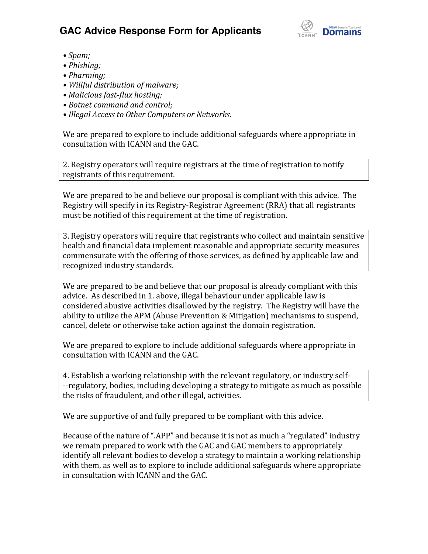

- *• Spam;*
- *• Phishing;*
- *• Pharming;*
- *• Willful distribution of malware;*
- *• Malicious fast-flux hosting;*
- Botnet command and control:
- *Illegal Access to Other Computers or Networks.*

We are prepared to explore to include additional safeguards where appropriate in consultation with ICANN and the GAC.

2. Registry operators will require registrars at the time of registration to notify registrants of this requirement.

We are prepared to be and believe our proposal is compliant with this advice. The Registry will specify in its Registry-Registrar Agreement (RRA) that all registrants must be notified of this requirement at the time of registration.

3. Registry operators will require that registrants who collect and maintain sensitive health and financial data implement reasonable and appropriate security measures commensurate with the offering of those services, as defined by applicable law and recognized industry standards.

We are prepared to be and believe that our proposal is already compliant with this advice. As described in 1. above, illegal behaviour under applicable law is considered abusive activities disallowed by the registry. The Registry will have the ability to utilize the APM (Abuse Prevention & Mitigation) mechanisms to suspend, cancel, delete or otherwise take action against the domain registration.

We are prepared to explore to include additional safeguards where appropriate in consultation with ICANN and the GAC.

4. Establish a working relationship with the relevant regulatory, or industry self- --regulatory, bodies, including developing a strategy to mitigate as much as possible the risks of fraudulent, and other illegal, activities.

We are supportive of and fully prepared to be compliant with this advice.

Because of the nature of ".APP" and because it is not as much a "regulated" industry we remain prepared to work with the GAC and GAC members to appropriately identify all relevant bodies to develop a strategy to maintain a working relationship with them, as well as to explore to include additional safeguards where appropriate in consultation with ICANN and the GAC.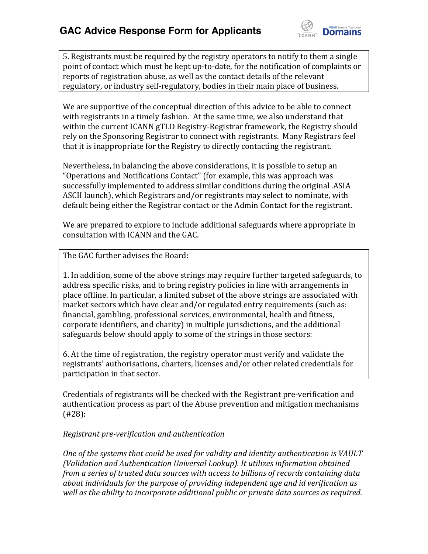

5. Registrants must be required by the registry operators to notify to them a single point of contact which must be kept up-to-date, for the notification of complaints or reports of registration abuse, as well as the contact details of the relevant regulatory, or industry self-regulatory, bodies in their main place of business.

We are supportive of the conceptual direction of this advice to be able to connect with registrants in a timely fashion. At the same time, we also understand that within the current ICANN gTLD Registry-Registrar framework, the Registry should rely on the Sponsoring Registrar to connect with registrants. Many Registrars feel that it is inappropriate for the Registry to directly contacting the registrant.

Nevertheless, in balancing the above considerations, it is possible to setup an "Operations and Notifications Contact" (for example, this was approach was successfully implemented to address similar conditions during the original .ASIA ASCII launch), which Registrars and/or registrants may select to nominate, with default being either the Registrar contact or the Admin Contact for the registrant.

We are prepared to explore to include additional safeguards where appropriate in consultation with ICANN and the GAC.

The GAC further advises the Board:

1. In addition, some of the above strings may require further targeted safeguards, to address specific risks, and to bring registry policies in line with arrangements in place offline. In particular, a limited subset of the above strings are associated with market sectors which have clear and/or regulated entry requirements (such as: financial, gambling, professional services, environmental, health and fitness, corporate identifiers, and charity) in multiple jurisdictions, and the additional safeguards below should apply to some of the strings in those sectors:

6. At the time of registration, the registry operator must verify and validate the registrants' authorisations, charters, licenses and/or other related credentials for participation in that sector.

Credentials of registrants will be checked with the Registrant pre-verification and authentication process as part of the Abuse prevention and mitigation mechanisms (#28):

#### *Registrant pre-verification and authentication*

*One of the systems that could be used for validity and identity authentication is VAULT (Validation and Authentication Universal Lookup). It utilizes information obtained from a series of trusted data sources with access to billions of records containing data about individuals for the purpose of providing independent age and id verification as well as the ability to incorporate additional public or private data sources as required.*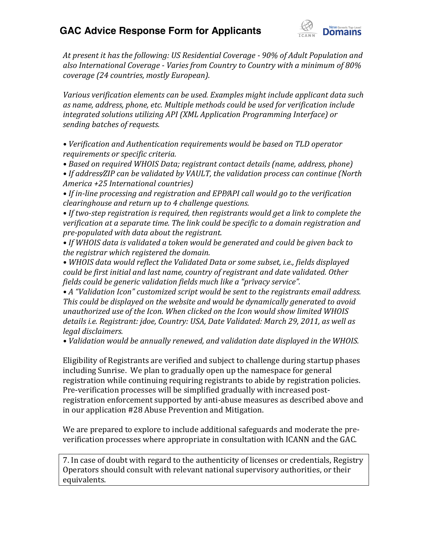

*At present it has the following: US Residential Coverage - 90% of Adult Population and also International Coverage - Varies from Country to Country with a minimum of 80% coverage (24 countries, mostly European).*

*Various verification elements can be used. Examples might include applicant data such as name, address, phone, etc. Multiple methods could be used for verification include integrated solutions utilizing API (XML Application Programming Interface) or sending batches of requests.*

• Verification and Authentication requirements would be based on TLD operator *requirements or specific criteria.*

• Based on required WHOIS Data; registrant contact details (name, address, phone)

• If address/ZIP can be validated by VAULT, the validation process can continue (North *America +25 International countries)*

• If in-line processing and registration and EPP/API call would go to the verification *clearinghouse and return up to 4 challenge questions.*

• If two-step registration is required, then registrants would get a link to complete the *verification at a separate time. The link could be specific to a domain registration and pre-populated with data about the registrant.*

• If WHOIS data is validated a token would be generated and could be given back to *the registrar which registered the domain.* 

• WHOIS data would reflect the Validated Data or some subset, *i.e.*, fields displayed *could be first initial and last name, country of registrant and date validated. Other fields could be generic validation fields much like a "privacy service".* 

• A "Validation Icon" customized script would be sent to the registrants email address. *This could be displayed on the website and would be dynamically generated to avoid unauthorized use of the Icon. When clicked on the Icon would show limited WHOIS details i.e. Registrant: jdoe, Country: USA, Date Validated: March 29, 2011, as well as legal disclaimers.*

• Validation would be annually renewed, and validation date displayed in the WHOIS.

Eligibility of Registrants are verified and subject to challenge during startup phases including Sunrise. We plan to gradually open up the namespace for general registration while continuing requiring registrants to abide by registration policies. Pre-verification processes will be simplified gradually with increased postregistration enforcement supported by anti-abuse measures as described above and in our application #28 Abuse Prevention and Mitigation.

We are prepared to explore to include additional safeguards and moderate the preverification processes where appropriate in consultation with ICANN and the GAC.

7. In case of doubt with regard to the authenticity of licenses or credentials, Registry Operators should consult with relevant national supervisory authorities, or their equivalents.